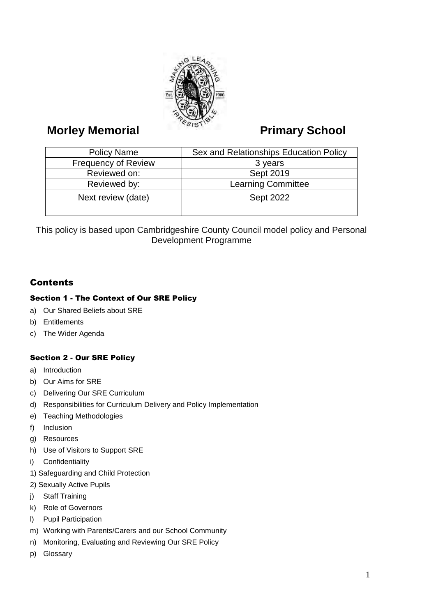

# **Morley Memorial Primary School**

| <b>Policy Name</b>         | Sex and Relationships Education Policy |
|----------------------------|----------------------------------------|
| <b>Frequency of Review</b> | 3 years                                |
| Reviewed on:               | Sept 2019                              |
| Reviewed by:               | <b>Learning Committee</b>              |
| Next review (date)         | <b>Sept 2022</b>                       |

This policy is based upon Cambridgeshire County Council model policy and Personal Development Programme

## **Contents**

### Section 1 - The Context of Our SRE Policy

- a) Our Shared Beliefs about SRE
- b) Entitlements
- c) The Wider Agenda

### Section 2 - Our SRE Policy

- a) Introduction
- b) Our Aims for SRE
- c) Delivering Our SRE Curriculum
- d) Responsibilities for Curriculum Delivery and Policy Implementation
- e) Teaching Methodologies
- f) Inclusion
- g) Resources
- h) Use of Visitors to Support SRE
- i) Confidentiality
- 1) Safeguarding and Child Protection
- 2) Sexually Active Pupils
- j) Staff Training
- k) Role of Governors
- l) Pupil Participation
- m) Working with Parents/Carers and our School Community
- n) Monitoring, Evaluating and Reviewing Our SRE Policy
- p) Glossary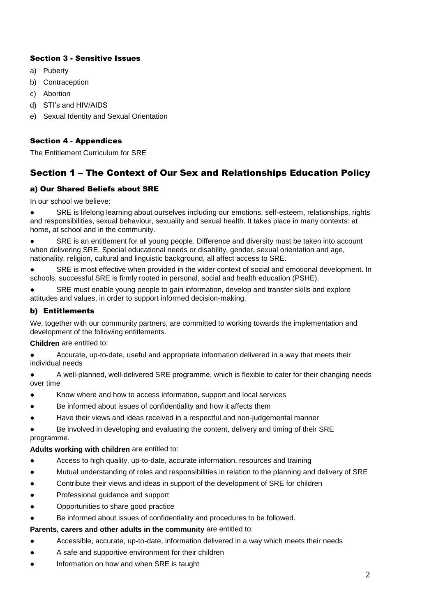#### Section 3 - Sensitive Issues

- a) Puberty
- b) Contraception
- c) Abortion
- d) STI's and HIV/AIDS
- e) Sexual Identity and Sexual Orientation

#### Section 4 - Appendices

The Entitlement Curriculum for SRE

## Section 1 – The Context of Our Sex and Relationships Education Policy

#### a) Our Shared Beliefs about SRE

In our school we believe:

● SRE is lifelong learning about ourselves including our emotions, self-esteem, relationships, rights and responsibilities, sexual behaviour, sexuality and sexual health. It takes place in many contexts: at home, at school and in the community.

SRE is an entitlement for all young people. Difference and diversity must be taken into account when delivering SRE. Special educational needs or disability, gender, sexual orientation and age, nationality, religion, cultural and linguistic background, all affect access to SRE.

SRE is most effective when provided in the wider context of social and emotional development. In schools, successful SRE is firmly rooted in personal, social and health education (PSHE).

SRE must enable young people to gain information, develop and transfer skills and explore attitudes and values, in order to support informed decision-making.

#### b) Entitlements

We, together with our community partners, are committed to working towards the implementation and development of the following entitlements.

**Children** are entitled to:

Accurate, up-to-date, useful and appropriate information delivered in a way that meets their individual needs

● A well-planned, well-delivered SRE programme, which is flexible to cater for their changing needs over time

- Know where and how to access information, support and local services
- Be informed about issues of confidentiality and how it affects them
- Have their views and ideas received in a respectful and non-judgemental manner

Be involved in developing and evaluating the content, delivery and timing of their SRE programme.

#### **Adults working with children** are entitled to:

- Access to high quality, up-to-date, accurate information, resources and training
- Mutual understanding of roles and responsibilities in relation to the planning and delivery of SRE
- Contribute their views and ideas in support of the development of SRE for children
- Professional guidance and support
- Opportunities to share good practice
- Be informed about issues of confidentiality and procedures to be followed.

#### **Parents, carers and other adults in the community** are entitled to:

- Accessible, accurate, up-to-date, information delivered in a way which meets their needs
- A safe and supportive environment for their children
- Information on how and when SRE is taught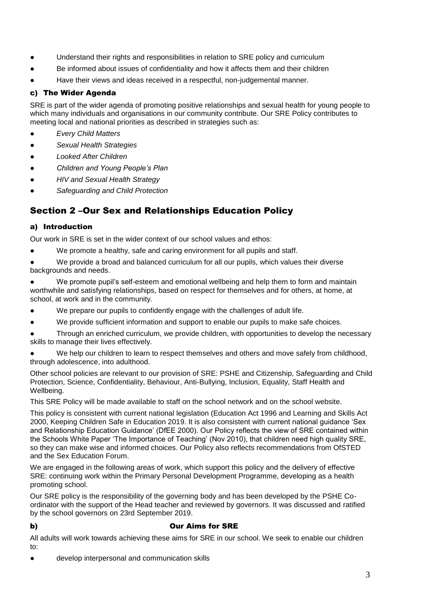- Understand their rights and responsibilities in relation to SRE policy and curriculum
- Be informed about issues of confidentiality and how it affects them and their children
- Have their views and ideas received in a respectful, non-judgemental manner.

#### c) The Wider Agenda

SRE is part of the wider agenda of promoting positive relationships and sexual health for young people to which many individuals and organisations in our community contribute. Our SRE Policy contributes to meeting local and national priorities as described in strategies such as:

- *Every Child Matters*
- *Sexual Health Strategies*
- *Looked After Children*
- *Children and Young People's Plan*
- *HIV and Sexual Health Strategy*
- *Safeguarding and Child Protection*

## Section 2 –Our Sex and Relationships Education Policy

#### a) Introduction

Our work in SRE is set in the wider context of our school values and ethos:

We promote a healthy, safe and caring environment for all pupils and staff.

We provide a broad and balanced curriculum for all our pupils, which values their diverse backgrounds and needs.

● We promote pupil's self-esteem and emotional wellbeing and help them to form and maintain worthwhile and satisfying relationships, based on respect for themselves and for others, at home, at school, at work and in the community.

- We prepare our pupils to confidently engage with the challenges of adult life.
- We provide sufficient information and support to enable our pupils to make safe choices.

Through an enriched curriculum, we provide children, with opportunities to develop the necessary skills to manage their lives effectively.

We help our children to learn to respect themselves and others and move safely from childhood, through adolescence, into adulthood.

Other school policies are relevant to our provision of SRE: PSHE and Citizenship, Safeguarding and Child Protection, Science, Confidentiality, Behaviour, Anti-Bullying, Inclusion, Equality, Staff Health and Wellbeing.

This SRE Policy will be made available to staff on the school network and on the school website.

This policy is consistent with current national legislation (Education Act 1996 and Learning and Skills Act 2000, Keeping Children Safe in Education 2019. It is also consistent with current national guidance 'Sex and Relationship Education Guidance' (DfEE 2000). Our Policy reflects the view of SRE contained within the Schools White Paper 'The Importance of Teaching' (Nov 2010), that children need high quality SRE, so they can make wise and informed choices. Our Policy also reflects recommendations from OfSTED and the Sex Education Forum.

We are engaged in the following areas of work, which support this policy and the delivery of effective SRE: continuing work within the Primary Personal Development Programme, developing as a health promoting school.

Our SRE policy is the responsibility of the governing body and has been developed by the PSHE Coordinator with the support of the Head teacher and reviewed by governors. It was discussed and ratified by the school governors on 23rd September 2019.

#### b) Our Aims for SRE

All adults will work towards achieving these aims for SRE in our school. We seek to enable our children to:

develop interpersonal and communication skills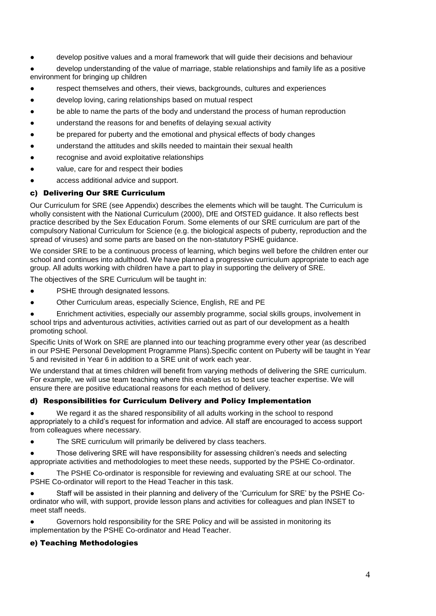develop positive values and a moral framework that will guide their decisions and behaviour

● develop understanding of the value of marriage, stable relationships and family life as a positive environment for bringing up children

- respect themselves and others, their views, backgrounds, cultures and experiences
- develop loving, caring relationships based on mutual respect
- be able to name the parts of the body and understand the process of human reproduction
- understand the reasons for and benefits of delaying sexual activity
- be prepared for puberty and the emotional and physical effects of body changes
- understand the attitudes and skills needed to maintain their sexual health
- recognise and avoid exploitative relationships
- value, care for and respect their bodies
- access additional advice and support.

#### c) Delivering Our SRE Curriculum

Our Curriculum for SRE (see Appendix) describes the elements which will be taught. The Curriculum is wholly consistent with the National Curriculum (2000), DfE and OfSTED guidance. It also reflects best practice described by the Sex Education Forum. Some elements of our SRE curriculum are part of the compulsory National Curriculum for Science (e.g. the biological aspects of puberty, reproduction and the spread of viruses) and some parts are based on the non-statutory PSHE guidance.

We consider SRE to be a continuous process of learning, which begins well before the children enter our school and continues into adulthood. We have planned a progressive curriculum appropriate to each age group. All adults working with children have a part to play in supporting the delivery of SRE.

The objectives of the SRE Curriculum will be taught in:

- **PSHE through designated lessons.**
- Other Curriculum areas, especially Science, English, RE and PE

● Enrichment activities, especially our assembly programme*,* social skills groups, involvement in school trips and adventurous activities, activities carried out as part of our development as a health promoting school.

Specific Units of Work on SRE are planned into our teaching programme every other year (as described in our PSHE Personal Development Programme Plans).Specific content on Puberty will be taught in Year 5 and revisited in Year 6 in addition to a SRE unit of work each year.

We understand that at times children will benefit from varying methods of delivering the SRE curriculum. For example, we will use team teaching where this enables us to best use teacher expertise. We will ensure there are positive educational reasons for each method of delivery.

#### d) Responsibilities for Curriculum Delivery and Policy Implementation

We regard it as the shared responsibility of all adults working in the school to respond appropriately to a child's request for information and advice. All staff are encouraged to access support from colleagues where necessary.

The SRE curriculum will primarily be delivered by class teachers.

Those delivering SRE will have responsibility for assessing children's needs and selecting appropriate activities and methodologies to meet these needs, supported by the PSHE Co-ordinator.

The PSHE Co-ordinator is responsible for reviewing and evaluating SRE at our school. The PSHE Co-ordinator will report to the Head Teacher in this task.

Staff will be assisted in their planning and delivery of the 'Curriculum for SRE' by the PSHE Coordinator who will, with support, provide lesson plans and activities for colleagues and plan INSET to meet staff needs.

Governors hold responsibility for the SRE Policy and will be assisted in monitoring its implementation by the PSHE Co-ordinator and Head Teacher.

#### e) Teaching Methodologies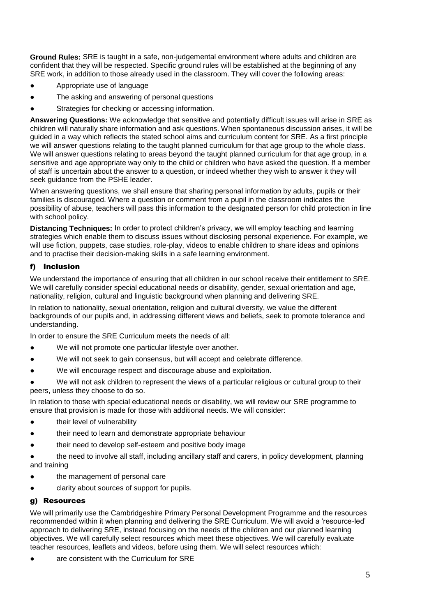**Ground Rules:** SRE is taught in a safe, non-judgemental environment where adults and children are confident that they will be respected. Specific ground rules will be established at the beginning of any SRE work, in addition to those already used in the classroom. They will cover the following areas:

- Appropriate use of language
- The asking and answering of personal questions
- Strategies for checking or accessing information.

**Answering Questions:** We acknowledge that sensitive and potentially difficult issues will arise in SRE as children will naturally share information and ask questions. When spontaneous discussion arises, it will be guided in a way which reflects the stated school aims and curriculum content for SRE. As a first principle we will answer questions relating to the taught planned curriculum for that age group to the whole class. We will answer questions relating to areas beyond the taught planned curriculum for that age group, in a sensitive and age appropriate way only to the child or children who have asked the question. If a member of staff is uncertain about the answer to a question, or indeed whether they wish to answer it they will seek guidance from the PSHE leader.

When answering questions, we shall ensure that sharing personal information by adults, pupils or their families is discouraged. Where a question or comment from a pupil in the classroom indicates the possibility of abuse, teachers will pass this information to the designated person for child protection in line with school policy.

**Distancing Techniques:** In order to protect children's privacy, we will employ teaching and learning strategies which enable them to discuss issues without disclosing personal experience. For example, we will use fiction, puppets, case studies, role-play, videos to enable children to share ideas and opinions and to practise their decision-making skills in a safe learning environment.

#### f) Inclusion

We understand the importance of ensuring that all children in our school receive their entitlement to SRE. We will carefully consider special educational needs or disability, gender, sexual orientation and age, nationality, religion, cultural and linguistic background when planning and delivering SRE.

In relation to nationality, sexual orientation, religion and cultural diversity, we value the different backgrounds of our pupils and, in addressing different views and beliefs, seek to promote tolerance and understanding.

In order to ensure the SRE Curriculum meets the needs of all:

- We will not promote one particular lifestyle over another.
- We will not seek to gain consensus, but will accept and celebrate difference.
- We will encourage respect and discourage abuse and exploitation.
- We will not ask children to represent the views of a particular religious or cultural group to their peers, unless they choose to do so.

In relation to those with special educational needs or disability, we will review our SRE programme to ensure that provision is made for those with additional needs. We will consider:

- their level of vulnerability
- their need to learn and demonstrate appropriate behaviour
- their need to develop self-esteem and positive body image
- the need to involve all staff, including ancillary staff and carers, in policy development, planning and training
- the management of personal care
- clarity about sources of support for pupils.

#### g) Resources

We will primarily use the Cambridgeshire Primary Personal Development Programme and the resources recommended within it when planning and delivering the SRE Curriculum. We will avoid a 'resource-led' approach to delivering SRE, instead focusing on the needs of the children and our planned learning objectives. We will carefully select resources which meet these objectives. We will carefully evaluate teacher resources, leaflets and videos, before using them. We will select resources which:

are consistent with the Curriculum for SRE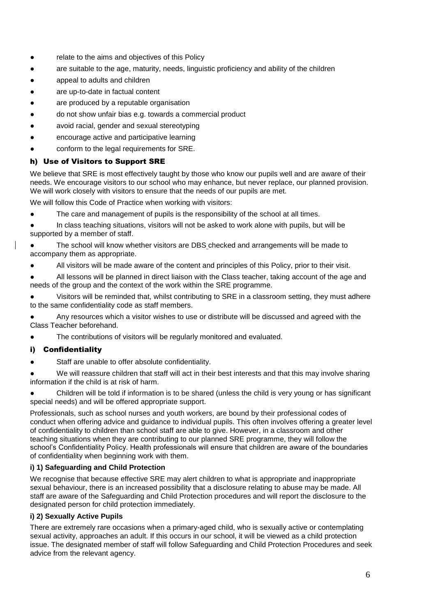- relate to the aims and objectives of this Policy
- are suitable to the age, maturity, needs, linguistic proficiency and ability of the children
- appeal to adults and children
- are up-to-date in factual content
- are produced by a reputable organisation
- do not show unfair bias e.g. towards a commercial product
- avoid racial, gender and sexual stereotyping
- encourage active and participative learning
- conform to the legal requirements for SRE.

#### h) Use of Visitors to Support SRE

We believe that SRE is most effectively taught by those who know our pupils well and are aware of their needs. We encourage visitors to our school who may enhance, but never replace, our planned provision. We will work closely with visitors to ensure that the needs of our pupils are met.

We will follow this Code of Practice when working with visitors:

- The care and management of pupils is the responsibility of the school at all times.
- In class teaching situations, visitors will not be asked to work alone with pupils, but will be supported by a member of staff.
- The school will know whether visitors are DBS checked and arrangements will be made to accompany them as appropriate.
- All visitors will be made aware of the content and principles of this Policy, prior to their visit.
- All lessons will be planned in direct liaison with the Class teacher, taking account of the age and needs of the group and the context of the work within the SRE programme.
- Visitors will be reminded that, whilst contributing to SRE in a classroom setting, they must adhere to the same confidentiality code as staff members.
- Any resources which a visitor wishes to use or distribute will be discussed and agreed with the Class Teacher beforehand.
- The contributions of visitors will be regularly monitored and evaluated.

#### i) Confidentiality

Staff are unable to offer absolute confidentiality.

We will reassure children that staff will act in their best interests and that this may involve sharing information if the child is at risk of harm.

● Children will be told if information is to be shared (unless the child is very young or has significant special needs) and will be offered appropriate support.

Professionals, such as school nurses and youth workers, are bound by their professional codes of conduct when offering advice and guidance to individual pupils. This often involves offering a greater level of confidentiality to children than school staff are able to give. However, in a classroom and other teaching situations when they are contributing to our planned SRE programme, they will follow the school's Confidentiality Policy. Health professionals will ensure that children are aware of the boundaries of confidentiality when beginning work with them.

#### **i) 1) Safeguarding and Child Protection**

We recognise that because effective SRE may alert children to what is appropriate and inappropriate sexual behaviour, there is an increased possibility that a disclosure relating to abuse may be made. All staff are aware of the Safeguarding and Child Protection procedures and will report the disclosure to the designated person for child protection immediately.

#### **i) 2) Sexually Active Pupils**

There are extremely rare occasions when a primary-aged child, who is sexually active or contemplating sexual activity, approaches an adult. If this occurs in our school, it will be viewed as a child protection issue. The designated member of staff will follow Safeguarding and Child Protection Procedures and seek advice from the relevant agency.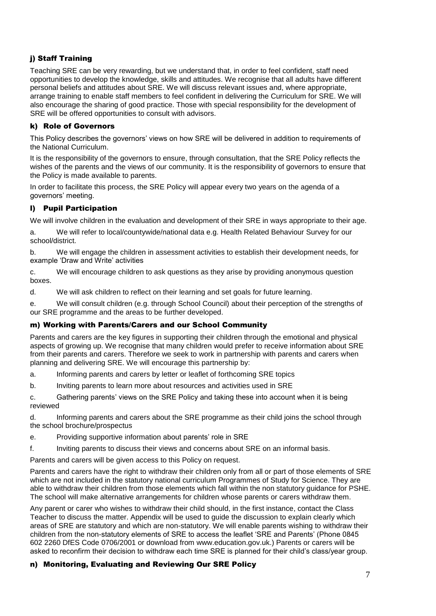### j) Staff Training

Teaching SRE can be very rewarding, but we understand that, in order to feel confident, staff need opportunities to develop the knowledge, skills and attitudes. We recognise that all adults have different personal beliefs and attitudes about SRE. We will discuss relevant issues and, where appropriate, arrange training to enable staff members to feel confident in delivering the Curriculum for SRE. We will also encourage the sharing of good practice. Those with special responsibility for the development of SRE will be offered opportunities to consult with advisors.

#### k) Role of Governors

This Policy describes the governors' views on how SRE will be delivered in addition to requirements of the National Curriculum.

It is the responsibility of the governors to ensure, through consultation, that the SRE Policy reflects the wishes of the parents and the views of our community. It is the responsibility of governors to ensure that the Policy is made available to parents.

In order to facilitate this process, the SRE Policy will appear every two years on the agenda of a governors' meeting.

#### l) Pupil Participation

We will involve children in the evaluation and development of their SRE in ways appropriate to their age.

a. We will refer to local/countywide/national data e.g. Health Related Behaviour Survey for our school/district.

b. We will engage the children in assessment activities to establish their development needs, for example 'Draw and Write' activities

c. We will encourage children to ask questions as they arise by providing anonymous question boxes.

d. We will ask children to reflect on their learning and set goals for future learning.

e. We will consult children (e.g. through School Council) about their perception of the strengths of our SRE programme and the areas to be further developed.

#### m) Working with Parents/Carers and our School Community

Parents and carers are the key figures in supporting their children through the emotional and physical aspects of growing up. We recognise that many children would prefer to receive information about SRE from their parents and carers. Therefore we seek to work in partnership with parents and carers when planning and delivering SRE. We will encourage this partnership by:

a. Informing parents and carers by letter or leaflet of forthcoming SRE topics

b. Inviting parents to learn more about resources and activities used in SRE

c. Gathering parents' views on the SRE Policy and taking these into account when it is being reviewed

d. Informing parents and carers about the SRE programme as their child joins the school through the school brochure/prospectus

e. Providing supportive information about parents' role in SRE

f. Inviting parents to discuss their views and concerns about SRE on an informal basis.

Parents and carers will be given access to this Policy on request.

Parents and carers have the right to withdraw their children only from all or part of those elements of SRE which are not included in the statutory national curriculum Programmes of Study for Science. They are able to withdraw their children from those elements which fall within the non statutory guidance for PSHE. The school will make alternative arrangements for children whose parents or carers withdraw them.

Any parent or carer who wishes to withdraw their child should, in the first instance, contact the Class Teacher to discuss the matter. Appendix will be used to guide the discussion to explain clearly which areas of SRE are statutory and which are non-statutory. We will enable parents wishing to withdraw their children from the non-statutory elements of SRE to access the leaflet 'SRE and Parents' (Phone 0845 602 2260 DfES Code 0706/2001 or download from www.education.gov.uk.) Parents or carers will be asked to reconfirm their decision to withdraw each time SRE is planned for their child's class/year group.

#### n) Monitoring, Evaluating and Reviewing Our SRE Policy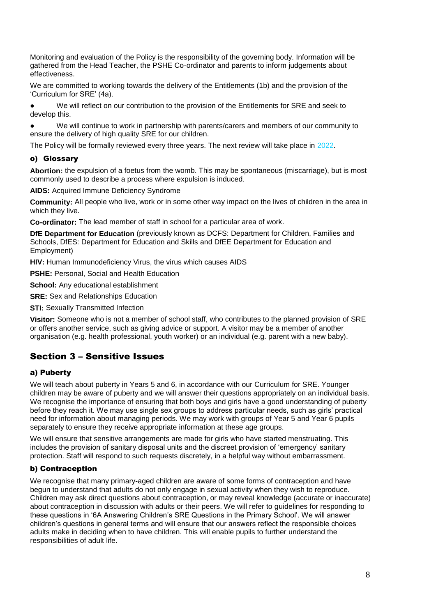Monitoring and evaluation of the Policy is the responsibility of the governing body. Information will be gathered from the Head Teacher, the PSHE Co-ordinator and parents to inform judgements about effectiveness.

We are committed to working towards the delivery of the Entitlements (1b) and the provision of the 'Curriculum for SRE' (4a).

We will reflect on our contribution to the provision of the Entitlements for SRE and seek to develop this.

● We will continue to work in partnership with parents/carers and members of our community to ensure the delivery of high quality SRE for our children.

The Policy will be formally reviewed every three years. The next review will take place in 2022.

#### o) Glossary

**Abortion:** the expulsion of a foetus from the womb. This may be spontaneous (miscarriage), but is most commonly used to describe a process where expulsion is induced.

**AIDS:** Acquired Immune Deficiency Syndrome

**Community:** All people who live, work or in some other way impact on the lives of children in the area in which they live.

**Co-ordinator:** The lead member of staff in school for a particular area of work.

**DfE Department for Education** (previously known as DCFS: Department for Children, Families and Schools, DfES: Department for Education and Skills and DfEE Department for Education and Employment)

**HIV:** Human Immunodeficiency Virus, the virus which causes AIDS

**PSHE:** Personal, Social and Health Education

**School:** Any educational establishment

**SRE: Sex and Relationships Education** 

**STI: Sexually Transmitted Infection** 

**Visitor:** Someone who is not a member of school staff, who contributes to the planned provision of SRE or offers another service, such as giving advice or support. A visitor may be a member of another organisation (e.g. health professional, youth worker) or an individual (e.g. parent with a new baby).

### Section 3 – Sensitive Issues

#### a) Puberty

We will teach about puberty in Years 5 and 6, in accordance with our Curriculum for SRE. Younger children may be aware of puberty and we will answer their questions appropriately on an individual basis. We recognise the importance of ensuring that both boys and girls have a good understanding of puberty before they reach it. We may use single sex groups to address particular needs, such as girls' practical need for information about managing periods. We may work with groups of Year 5 and Year 6 pupils separately to ensure they receive appropriate information at these age groups.

We will ensure that sensitive arrangements are made for girls who have started menstruating. This includes the provision of sanitary disposal units and the discreet provision of 'emergency' sanitary protection. Staff will respond to such requests discretely, in a helpful way without embarrassment.

#### b) Contraception

We recognise that many primary-aged children are aware of some forms of contraception and have begun to understand that adults do not only engage in sexual activity when they wish to reproduce. Children may ask direct questions about contraception, or may reveal knowledge (accurate or inaccurate) about contraception in discussion with adults or their peers. We will refer to guidelines for responding to these questions in '6A Answering Children's SRE Questions in the Primary School'. We will answer children's questions in general terms and will ensure that our answers reflect the responsible choices adults make in deciding when to have children. This will enable pupils to further understand the responsibilities of adult life.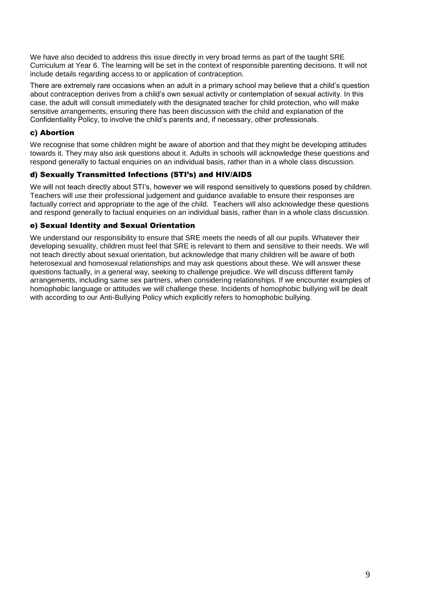We have also decided to address this issue directly in very broad terms as part of the taught SRE Curriculum at Year 6. The learning will be set in the context of responsible parenting decisions. It will not include details regarding access to or application of contraception.

There are extremely rare occasions when an adult in a primary school may believe that a child's question about contraception derives from a child's own sexual activity or contemplation of sexual activity. In this case, the adult will consult immediately with the designated teacher for child protection, who will make sensitive arrangements, ensuring there has been discussion with the child and explanation of the Confidentiality Policy, to involve the child's parents and, if necessary, other professionals.

#### c) Abortion

We recognise that some children might be aware of abortion and that they might be developing attitudes towards it. They may also ask questions about it. Adults in schools will acknowledge these questions and respond generally to factual enquiries on an individual basis, rather than in a whole class discussion.

#### d) Sexually Transmitted Infections (STI's) and HIV/AIDS

We will not teach directly about STI's, however we will respond sensitively to questions posed by children. Teachers will use their professional judgement and guidance available to ensure their responses are factually correct and appropriate to the age of the child. Teachers will also acknowledge these questions and respond generally to factual enquiries on an individual basis, rather than in a whole class discussion.

#### e) Sexual Identity and Sexual Orientation

We understand our responsibility to ensure that SRE meets the needs of all our pupils. Whatever their developing sexuality, children must feel that SRE is relevant to them and sensitive to their needs. We will not teach directly about sexual orientation, but acknowledge that many children will be aware of both heterosexual and homosexual relationships and may ask questions about these. We will answer these questions factually, in a general way, seeking to challenge prejudice. We will discuss different family arrangements, including same sex partners, when considering relationships. If we encounter examples of homophobic language or attitudes we will challenge these. Incidents of homophobic bullying will be dealt with according to our Anti-Bullying Policy which explicitly refers to homophobic bullying.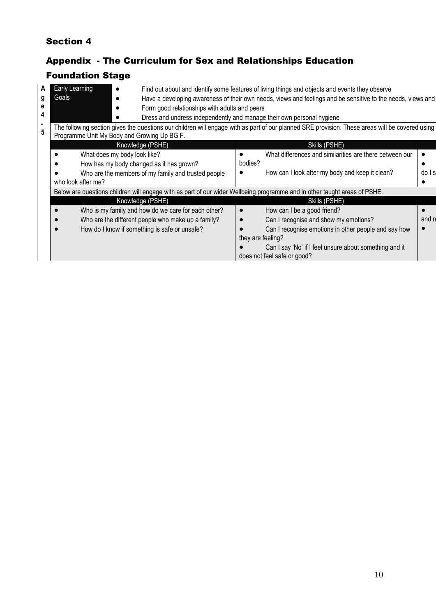## Section 4

## Appendix - The Curriculum for Sex and Relationships Education

# Foundation Stage

| ΑI                                                                                                                                                   | <b>Early Learning</b> |                                                                       |                                               | Find out about and identify some features of living things and objects and events they observe              |                                                         |                                                        |       |  |  |
|------------------------------------------------------------------------------------------------------------------------------------------------------|-----------------------|-----------------------------------------------------------------------|-----------------------------------------------|-------------------------------------------------------------------------------------------------------------|---------------------------------------------------------|--------------------------------------------------------|-------|--|--|
| g                                                                                                                                                    | Goals                 |                                                                       |                                               | Have a developing awareness of their own needs, views and feelings and be sensitive to the needs, views and |                                                         |                                                        |       |  |  |
|                                                                                                                                                      |                       |                                                                       | Form good relationships with adults and peers |                                                                                                             |                                                         |                                                        |       |  |  |
|                                                                                                                                                      |                       | Dress and undress independently and manage their own personal hygiene |                                               |                                                                                                             |                                                         |                                                        |       |  |  |
| The following section gives the questions our children will engage with as part of our planned SRE provision. These areas will be covered using<br>5 |                       |                                                                       |                                               |                                                                                                             |                                                         |                                                        |       |  |  |
|                                                                                                                                                      |                       |                                                                       |                                               | Programme Unit My Body and Growing Up BG F.                                                                 |                                                         |                                                        |       |  |  |
|                                                                                                                                                      |                       |                                                                       |                                               | Knowledge (PSHE)                                                                                            |                                                         | Skills (PSHE)                                          |       |  |  |
| What does my body look like?                                                                                                                         |                       |                                                                       |                                               |                                                                                                             | What differences and similarities are there between our |                                                        |       |  |  |
| How has my body changed as it has grown?                                                                                                             |                       |                                                                       |                                               | bodies?                                                                                                     |                                                         |                                                        |       |  |  |
|                                                                                                                                                      |                       |                                                                       |                                               | Who are the members of my family and trusted people                                                         |                                                         | How can I look after my body and keep it clean?        | dols  |  |  |
|                                                                                                                                                      |                       | who look after me?                                                    |                                               |                                                                                                             |                                                         |                                                        |       |  |  |
| Below are questions children will engage with as part of our wider Wellbeing programme and in other taught areas of PSHE.                            |                       |                                                                       |                                               |                                                                                                             |                                                         |                                                        |       |  |  |
|                                                                                                                                                      |                       |                                                                       |                                               | Knowledge (PSHE)                                                                                            |                                                         | Skills (PSHE)                                          |       |  |  |
|                                                                                                                                                      |                       |                                                                       |                                               | Who is my family and how do we care for each other?                                                         | $\bullet$                                               | How can I be a good friend?                            |       |  |  |
|                                                                                                                                                      |                       |                                                                       |                                               | Who are the different people who make up a family?                                                          |                                                         | Can I recognise and show my emotions?                  | and n |  |  |
|                                                                                                                                                      |                       |                                                                       |                                               | How do I know if something is safe or unsafe?                                                               |                                                         | Can I recognise emotions in other people and say how   |       |  |  |
|                                                                                                                                                      |                       |                                                                       |                                               |                                                                                                             | they are feeling?                                       |                                                        |       |  |  |
|                                                                                                                                                      |                       |                                                                       |                                               |                                                                                                             |                                                         | Can I say 'No' if I feel unsure about something and it |       |  |  |
|                                                                                                                                                      |                       |                                                                       |                                               |                                                                                                             |                                                         | does not feel safe or good?                            |       |  |  |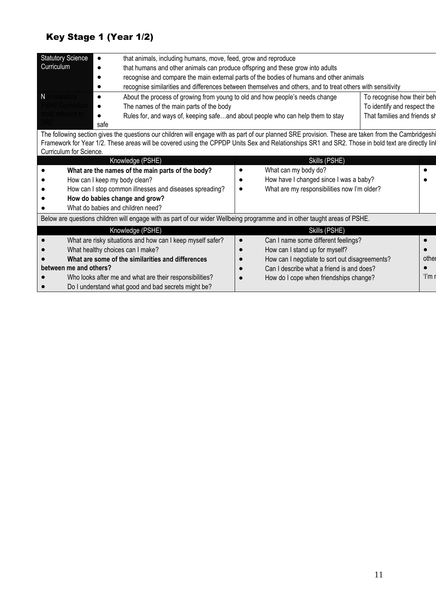# Key Stage 1 (Year 1/2)

| <b>Statutory Science</b><br>that animals, including humans, move, feed, grow and reproduce                                                          |                                                                                                            |                                                           |  |
|-----------------------------------------------------------------------------------------------------------------------------------------------------|------------------------------------------------------------------------------------------------------------|-----------------------------------------------------------|--|
| Curriculum<br>that humans and other animals can produce offspring and these grow into adults                                                        |                                                                                                            |                                                           |  |
|                                                                                                                                                     | recognise and compare the main external parts of the bodies of humans and other animals                    |                                                           |  |
|                                                                                                                                                     | recognise similarities and differences between themselves and others, and to treat others with sensitivity |                                                           |  |
| N<br>-statutory<br>About the process of growing from young to old and how people's needs change                                                     |                                                                                                            | To recognise how their beh<br>To identify and respect the |  |
| SHF Currie<br>The names of the main parts of the body                                                                                               |                                                                                                            |                                                           |  |
| iost relevan                                                                                                                                        | Rules for, and ways of, keeping safeand about people who can help them to stay                             | That families and friends sh                              |  |
| safe                                                                                                                                                |                                                                                                            |                                                           |  |
| The following section gives the questions our children will engage with as part of our planned SRE provision. These are taken from the Cambridgeshi |                                                                                                            |                                                           |  |
| Framework for Year 1/2. These areas will be covered using the CPPDP Units Sex and Relationships SR1 and SR2. Those in bold text are directly lin    |                                                                                                            |                                                           |  |
| Curriculum for Science.                                                                                                                             |                                                                                                            |                                                           |  |
| Knowledge (PSHE)                                                                                                                                    | Skills (PSHE)                                                                                              |                                                           |  |
| What are the names of the main parts of the body?                                                                                                   | What can my body do?                                                                                       |                                                           |  |
| How can I keep my body clean?                                                                                                                       | How have I changed since I was a baby?                                                                     |                                                           |  |
| How can I stop common illnesses and diseases spreading?                                                                                             | What are my responsibilities now I'm older?                                                                |                                                           |  |
| How do babies change and grow?                                                                                                                      |                                                                                                            |                                                           |  |
| What do babies and children need?                                                                                                                   |                                                                                                            |                                                           |  |
| Below are questions children will engage with as part of our wider Wellbeing programme and in other taught areas of PSHE.                           |                                                                                                            |                                                           |  |
| Knowledge (PSHE)                                                                                                                                    | Skills (PSHE)                                                                                              |                                                           |  |
| What are risky situations and how can I keep myself safer?                                                                                          | Can I name some different feelings?                                                                        |                                                           |  |
| What healthy choices can I make?                                                                                                                    | How can I stand up for myself?                                                                             |                                                           |  |
| What are some of the similarities and differences                                                                                                   | How can I negotiate to sort out disagreements?                                                             | other                                                     |  |
| between me and others?                                                                                                                              | Can I describe what a friend is and does?                                                                  |                                                           |  |
| Who looks after me and what are their responsibilities?                                                                                             | How do I cope when friendships change?                                                                     | ʻl'm r                                                    |  |
| Do I understand what good and bad secrets might be?                                                                                                 |                                                                                                            |                                                           |  |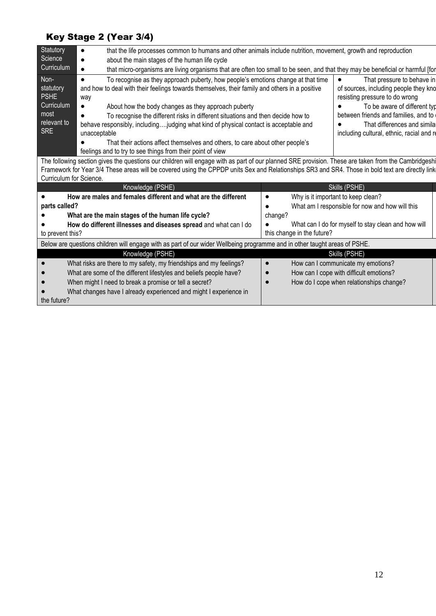# Key Stage 2 (Year 3/4)

| Statutory          | that the life processes common to humans and other animals include nutrition, movement, growth and reproduction                                     |                                           |  |  |  |  |
|--------------------|-----------------------------------------------------------------------------------------------------------------------------------------------------|-------------------------------------------|--|--|--|--|
| Science            | about the main stages of the human life cycle                                                                                                       |                                           |  |  |  |  |
| Curriculum         | that micro-organisms are living organisms that are often too small to be seen, and that they may be beneficial or harmful [for                      |                                           |  |  |  |  |
| Non-               | To recognise as they approach puberty, how people's emotions change at that time                                                                    | That pressure to behave in                |  |  |  |  |
| statutory          | and how to deal with their feelings towards themselves, their family and others in a positive                                                       | of sources, including people they kno     |  |  |  |  |
| <b>PSHE</b>        | way                                                                                                                                                 | resisting pressure to do wrong            |  |  |  |  |
| Curriculum<br>most | About how the body changes as they approach puberty                                                                                                 | To be aware of different typ              |  |  |  |  |
|                    | To recognise the different risks in different situations and then decide how to                                                                     | between friends and families, and to      |  |  |  |  |
| relevant to        | behave responsibly, includingjudging what kind of physical contact is acceptable and                                                                | That differences and simila               |  |  |  |  |
| <b>SRE</b>         | unacceptable                                                                                                                                        | including cultural, ethnic, racial and re |  |  |  |  |
|                    | That their actions affect themselves and others, to care about other people's                                                                       |                                           |  |  |  |  |
|                    | feelings and to try to see things from their point of view                                                                                          |                                           |  |  |  |  |
|                    | The following section gives the questions our children will engage with as part of our planned SPE provision. These are taken from the Cambridgeshi |                                           |  |  |  |  |

The following section gives the questions our children will engage with as part of our planned SRE provision. These are taken from the Cambridgeshi Framework for Year 3/4 These areas will be covered using the CPPDP units Sex and Relationships SR3 and SR4. Those in bold text are directly link Curriculum for Science.

| Knowledge (PSHE) |                                                                                                                           |         | Skills (PSHE)                                       |  |  |  |
|------------------|---------------------------------------------------------------------------------------------------------------------------|---------|-----------------------------------------------------|--|--|--|
|                  | How are males and females different and what are the different                                                            |         | Why is it important to keep clean?                  |  |  |  |
| parts called?    |                                                                                                                           |         | What am I responsible for now and how will this     |  |  |  |
|                  | What are the main stages of the human life cycle?                                                                         | change? |                                                     |  |  |  |
|                  | How do different illnesses and diseases spread and what can I do                                                          |         | What can I do for myself to stay clean and how will |  |  |  |
| to prevent this? |                                                                                                                           |         | this change in the future?                          |  |  |  |
|                  | Below are questions children will engage with as part of our wider Wellbeing programme and in other taught areas of PSHE. |         |                                                     |  |  |  |
|                  | Knowledge (PSHE)                                                                                                          |         | Skills (PSHE)                                       |  |  |  |
|                  | What risks are there to my safety, my friendships and my feelings?                                                        |         | How can I communicate my emotions?                  |  |  |  |
| $\bullet$        | What are some of the different lifestyles and beliefs people have?                                                        |         | How can I cope with difficult emotions?             |  |  |  |
|                  | When might I need to break a promise or tell a secret?                                                                    |         | How do I cope when relationships change?            |  |  |  |
|                  | What changes have I already experienced and might I experience in                                                         |         |                                                     |  |  |  |
| the future?      |                                                                                                                           |         |                                                     |  |  |  |